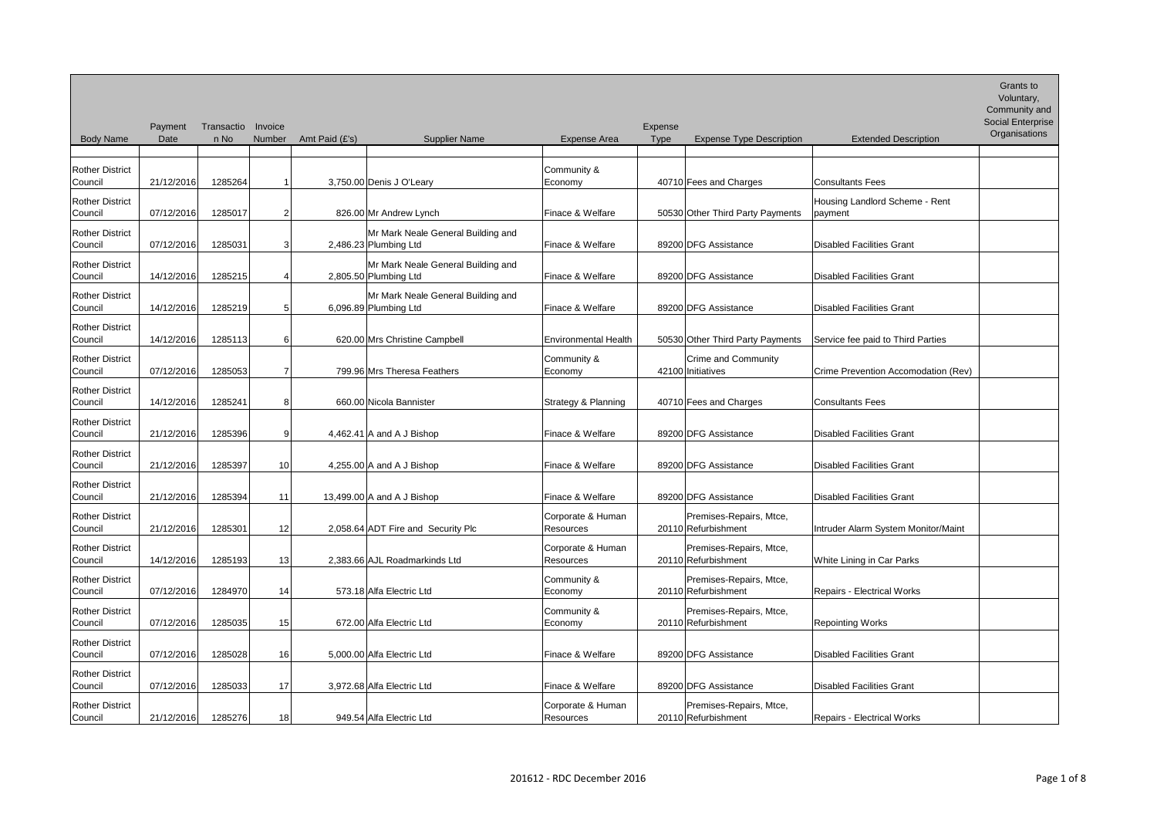| ription       | Grants to<br>Voluntary,<br>Community and<br>Social Enterprise<br>Organisations |
|---------------|--------------------------------------------------------------------------------|
|               |                                                                                |
|               |                                                                                |
| e - Rent      |                                                                                |
|               |                                                                                |
|               |                                                                                |
|               |                                                                                |
| Parties       |                                                                                |
| odation (Rev) |                                                                                |
|               |                                                                                |
|               |                                                                                |
|               |                                                                                |
|               |                                                                                |
| onitor/Maint  |                                                                                |
| S             |                                                                                |
| S             |                                                                                |
|               |                                                                                |
|               |                                                                                |
|               |                                                                                |
| S             |                                                                                |

|                                   | Payment    | Transactio | Invoice         |                |                                                             |                                       | Expense     |                                                |                                           |
|-----------------------------------|------------|------------|-----------------|----------------|-------------------------------------------------------------|---------------------------------------|-------------|------------------------------------------------|-------------------------------------------|
| <b>Body Name</b>                  | Date       | n No       | Number          | Amt Paid (£'s) | <b>Supplier Name</b>                                        | <b>Expense Area</b>                   | <b>Type</b> | <b>Expense Type Description</b>                | <b>Extended Description</b>               |
| <b>Rother District</b><br>Council | 21/12/2016 | 1285264    |                 |                | 3,750.00 Denis J O'Leary                                    | Community &<br>Economy                |             | 40710 Fees and Charges                         | <b>Consultants Fees</b>                   |
| <b>Rother District</b><br>Council | 07/12/2016 | 1285017    | 2               |                | 826.00 Mr Andrew Lynch                                      | Finace & Welfare                      |             | 50530 Other Third Party Payments               | Housing Landlord Scheme - Rent<br>payment |
| <b>Rother District</b><br>Council | 07/12/2016 | 1285031    | 3               |                | Mr Mark Neale General Building and<br>2,486.23 Plumbing Ltd | Finace & Welfare                      |             | 89200 DFG Assistance                           | <b>Disabled Facilities Grant</b>          |
| <b>Rother District</b><br>Council | 14/12/2016 | 1285215    | 4               |                | Mr Mark Neale General Building and<br>2,805.50 Plumbing Ltd | Finace & Welfare                      |             | 89200 DFG Assistance                           | <b>Disabled Facilities Grant</b>          |
| <b>Rother District</b><br>Council | 14/12/2016 | 1285219    | 5               |                | Mr Mark Neale General Building and<br>6,096.89 Plumbing Ltd | Finace & Welfare                      |             | 89200 DFG Assistance                           | <b>Disabled Facilities Grant</b>          |
| <b>Rother District</b><br>Council | 14/12/2016 | 1285113    | 6               |                | 620.00 Mrs Christine Campbell                               | <b>Environmental Health</b>           |             | 50530 Other Third Party Payments               | Service fee paid to Third Parties         |
| <b>Rother District</b><br>Council | 07/12/2016 | 1285053    | 7               |                | 799.96 Mrs Theresa Feathers                                 | Community &<br>Economy                |             | Crime and Community<br>42100 Initiatives       | Crime Prevention Accomodation (Rev)       |
| <b>Rother District</b><br>Council | 14/12/2016 | 1285241    | 8               |                | 660.00 Nicola Bannister                                     | Strategy & Planning                   |             | 40710 Fees and Charges                         | <b>Consultants Fees</b>                   |
| <b>Rother District</b><br>Council | 21/12/2016 | 1285396    | 9               |                | 4,462.41 A and A J Bishop                                   | Finace & Welfare                      |             | 89200 DFG Assistance                           | <b>Disabled Facilities Grant</b>          |
| <b>Rother District</b><br>Council | 21/12/2016 | 1285397    | 10 <sup>1</sup> |                | 4,255.00 A and A J Bishop                                   | Finace & Welfare                      |             | 89200 DFG Assistance                           | <b>Disabled Facilities Grant</b>          |
| <b>Rother District</b><br>Council | 21/12/2016 | 1285394    | 11              |                | 13,499.00 A and A J Bishop                                  | Finace & Welfare                      |             | 89200 DFG Assistance                           | <b>Disabled Facilities Grant</b>          |
| <b>Rother District</b><br>Council | 21/12/2016 | 1285301    | 12              |                | 2,058.64 ADT Fire and Security Plc                          | Corporate & Human<br><b>Resources</b> |             | Premises-Repairs, Mtce,<br>20110 Refurbishment | Intruder Alarm System Monitor/Maint       |
| <b>Rother District</b><br>Council | 14/12/2016 | 1285193    | 13              |                | 2,383.66 AJL Roadmarkinds Ltd                               | Corporate & Human<br>Resources        |             | Premises-Repairs, Mtce,<br>20110 Refurbishment | White Lining in Car Parks                 |
| <b>Rother District</b><br>Council | 07/12/2016 | 1284970    | 14              |                | 573.18 Alfa Electric Ltd                                    | Community &<br>Economy                |             | Premises-Repairs, Mtce,<br>20110 Refurbishment | <b>Repairs - Electrical Works</b>         |
| <b>Rother District</b><br>Council | 07/12/2016 | 1285035    | 15              |                | 672.00 Alfa Electric Ltd                                    | Community &<br>Economy                |             | Premises-Repairs, Mtce,<br>20110 Refurbishment | <b>Repointing Works</b>                   |
| <b>Rother District</b><br>Council | 07/12/2016 | 1285028    | 16              |                | 5,000.00 Alfa Electric Ltd                                  | Finace & Welfare                      |             | 89200 DFG Assistance                           | <b>Disabled Facilities Grant</b>          |
| <b>Rother District</b><br>Council | 07/12/2016 | 1285033    | 17              |                | 3,972.68 Alfa Electric Ltd                                  | Finace & Welfare                      |             | 89200 DFG Assistance                           | <b>Disabled Facilities Grant</b>          |
| <b>Rother District</b><br>Council | 21/12/2016 | 1285276    | 18              |                | 949.54 Alfa Electric Ltd                                    | Corporate & Human<br>Resources        |             | Premises-Repairs, Mtce,<br>20110 Refurbishment | Repairs - Electrical Works                |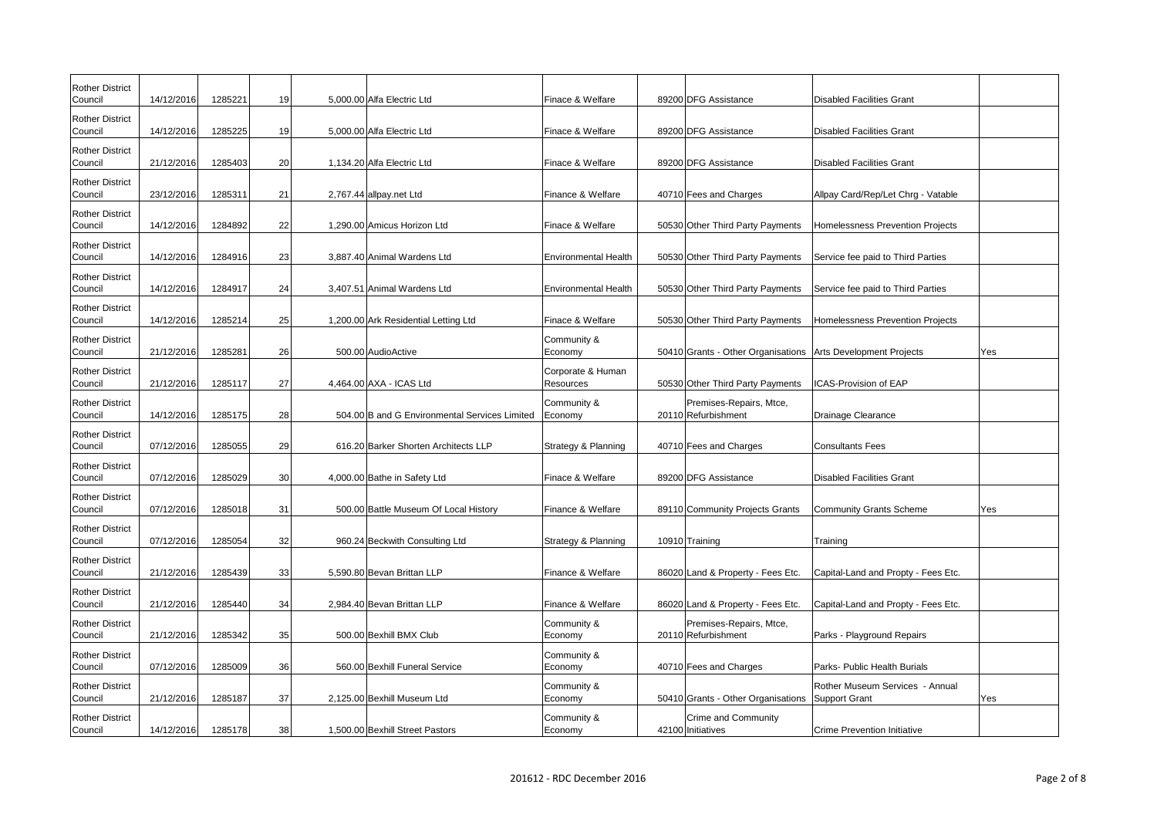| <b>Rother District</b><br>Council | 14/12/2016 | 1285221 | 19 | 5,000.00 Alfa Electric Ltd                    | Finace & Welfare                      |                   | 89200 DFG Assistance                                         | Disabled Facilities Grant                        |     |
|-----------------------------------|------------|---------|----|-----------------------------------------------|---------------------------------------|-------------------|--------------------------------------------------------------|--------------------------------------------------|-----|
| <b>Rother District</b><br>Council | 14/12/2016 | 1285225 | 19 | 5,000.00 Alfa Electric Ltd                    | Finace & Welfare                      |                   | 89200 DFG Assistance                                         | Disabled Facilities Grant                        |     |
| <b>Rother District</b><br>Council | 21/12/2016 | 1285403 | 20 | 1,134.20 Alfa Electric Ltd                    | Finace & Welfare                      |                   | 89200 DFG Assistance                                         | Disabled Facilities Grant                        |     |
| <b>Rother District</b><br>Council | 23/12/2016 | 1285311 | 21 | 2,767.44 allpay.net Ltd                       | Finance & Welfare                     |                   | 40710 Fees and Charges                                       | Allpay Card/Rep/Let Chrg - Vatable               |     |
| <b>Rother District</b><br>Council | 14/12/2016 | 1284892 | 22 | 1,290.00 Amicus Horizon Ltd                   | Finace & Welfare                      |                   | 50530 Other Third Party Payments                             | Homelessness Prevention Projects                 |     |
| <b>Rother District</b><br>Council | 14/12/2016 | 1284916 | 23 | 3,887.40 Animal Wardens Ltd                   | Environmental Health                  |                   | 50530 Other Third Party Payments                             | Service fee paid to Third Parties                |     |
| <b>Rother District</b><br>Council | 14/12/2016 | 1284917 | 24 | 3,407.51 Animal Wardens Ltd                   | Environmental Health                  |                   | 50530 Other Third Party Payments                             | Service fee paid to Third Parties                |     |
| <b>Rother District</b><br>Council | 14/12/2016 | 1285214 | 25 | 1,200.00 Ark Residential Letting Ltd          | Finace & Welfare                      |                   | 50530 Other Third Party Payments                             | Homelessness Prevention Projects                 |     |
| <b>Rother District</b><br>Council | 21/12/2016 | 1285281 | 26 | 500.00 AudioActive                            | Community &<br>Economy                |                   | 50410 Grants - Other Organisations Arts Development Projects |                                                  | Yes |
| <b>Rother District</b><br>Council | 21/12/2016 | 1285117 | 27 | 4,464.00 AXA - ICAS Ltd                       | Corporate & Human<br><b>Resources</b> |                   | 50530 Other Third Party Payments                             | ICAS-Provision of EAP                            |     |
| <b>Rother District</b><br>Council | 14/12/2016 | 1285175 | 28 | 504.00 B and G Environmental Services Limited | Community &<br>Economy                |                   | Premises-Repairs, Mtce,<br>20110 Refurbishment               | Drainage Clearance                               |     |
| <b>Rother District</b><br>Council | 07/12/2016 | 1285055 | 29 | 616.20 Barker Shorten Architects LLP          | Strategy & Planning                   |                   | 40710 Fees and Charges                                       | <b>Consultants Fees</b>                          |     |
| <b>Rother District</b><br>Council | 07/12/2016 | 1285029 | 30 | 4,000.00 Bathe in Safety Ltd                  | Finace & Welfare                      |                   | 89200 DFG Assistance                                         | Disabled Facilities Grant                        |     |
| <b>Rother District</b><br>Council | 07/12/2016 | 1285018 | 31 | 500.00 Battle Museum Of Local History         | Finance & Welfare                     |                   | 89110 Community Projects Grants                              | Community Grants Scheme                          | Yes |
| <b>Rother District</b><br>Council | 07/12/2016 | 1285054 | 32 | 960.24 Beckwith Consulting Ltd                | Strategy & Planning                   | 10910 Training    |                                                              | Training                                         |     |
| <b>Rother District</b><br>Council | 21/12/2016 | 1285439 | 33 | 5,590.80 Bevan Brittan LLP                    | Finance & Welfare                     |                   | 86020 Land & Property - Fees Etc.                            | Capital-Land and Propty - Fees Etc.              |     |
| <b>Rother District</b><br>Council | 21/12/2016 | 1285440 | 34 | 2,984.40 Bevan Brittan LLP                    | Finance & Welfare                     |                   | 86020 Land & Property - Fees Etc.                            | Capital-Land and Propty - Fees Etc.              |     |
| <b>Rother District</b><br>Council | 21/12/2016 | 1285342 | 35 | 500.00 Bexhill BMX Club                       | Community &<br>Economy                |                   | Premises-Repairs, Mtce,<br>20110 Refurbishment               | Parks - Playground Repairs                       |     |
| <b>Rother District</b><br>Council | 07/12/2016 | 1285009 | 36 | 560.00 Bexhill Funeral Service                | Community &<br>Economy                |                   | 40710 Fees and Charges                                       | Parks- Public Health Burials                     |     |
| <b>Rother District</b><br>Council | 21/12/2016 | 1285187 | 37 | 2,125.00 Bexhill Museum Ltd                   | Community &<br>Economy                |                   | 50410 Grants - Other Organisations                           | Rother Museum Services - Annual<br>Support Grant | Yes |
| <b>Rother District</b><br>Council | 14/12/2016 | 1285178 | 38 | 1,500.00 Bexhill Street Pastors               | Community &<br>Economy                | 42100 Initiatives | Crime and Community                                          | Crime Prevention Initiative                      |     |

| g - Vatable                   |     |
|-------------------------------|-----|
| n Projects                    |     |
| Parties                       |     |
| Parties                       |     |
| n Projects                    |     |
| :ts                           | Yes |
|                               |     |
|                               |     |
|                               |     |
|                               |     |
| me                            | Yes |
|                               |     |
| - Fees Etc.                   |     |
| - Fees Etc.                   |     |
| <b>irs</b>                    |     |
| ials $\overline{\phantom{a}}$ |     |
| s - Annual                    | Yes |
| $\overline{e}$                |     |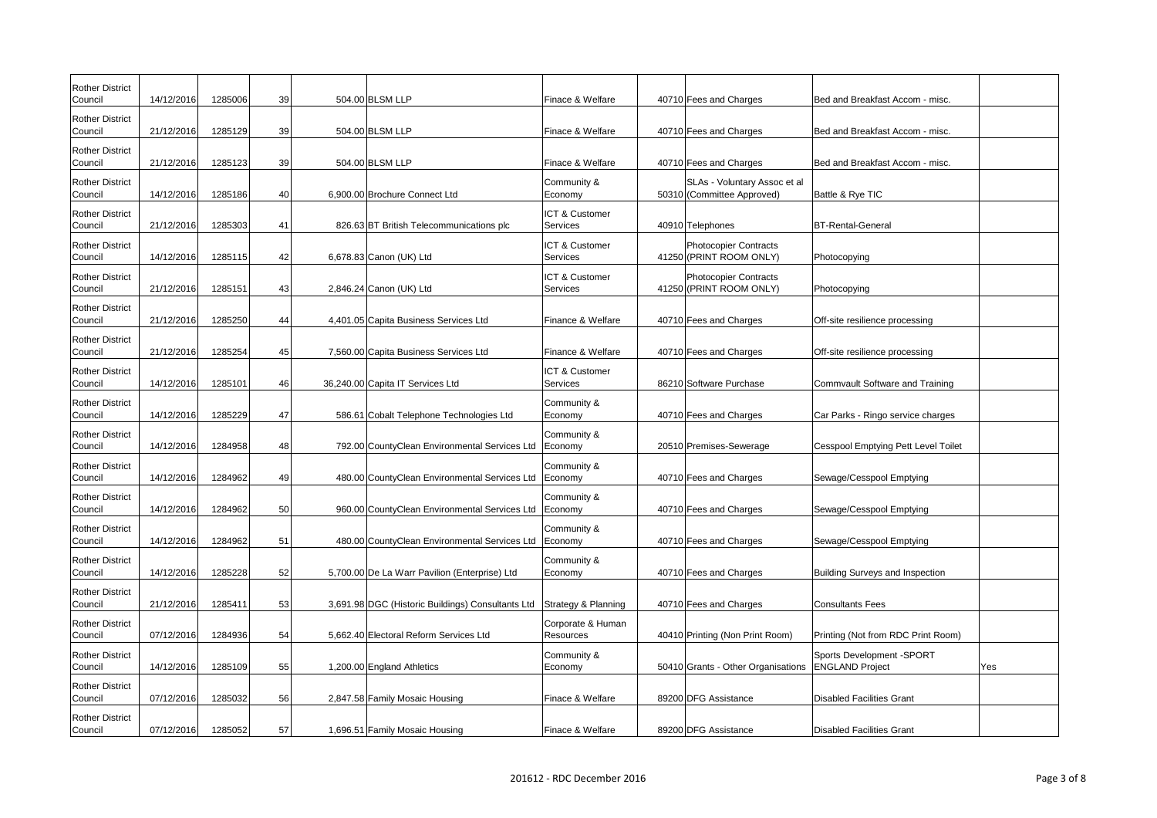| <b>Rother District</b><br>Council | 14/12/2016 | 1285006 | 39 | 504.00 BLSM LLP                                   | Finace & Welfare                      | 40710 Fees and Charges                                     | Bed and Breakfast Accom - misc.                      |     |
|-----------------------------------|------------|---------|----|---------------------------------------------------|---------------------------------------|------------------------------------------------------------|------------------------------------------------------|-----|
| <b>Rother District</b><br>Council | 21/12/2016 | 1285129 | 39 | 504.00 BLSM LLP                                   | Finace & Welfare                      | 40710 Fees and Charges                                     | Bed and Breakfast Accom - misc.                      |     |
| <b>Rother District</b><br>Council | 21/12/2016 | 1285123 | 39 | 504.00 BLSM LLP                                   | Finace & Welfare                      | 40710 Fees and Charges                                     | Bed and Breakfast Accom - misc.                      |     |
| <b>Rother District</b><br>Council | 14/12/2016 | 1285186 | 40 | 6,900.00 Brochure Connect Ltd                     | Community &<br>Economy                | SLAs - Voluntary Assoc et al<br>50310 (Committee Approved) | Battle & Rye TIC                                     |     |
| <b>Rother District</b><br>Council | 21/12/2016 | 1285303 | 41 | 826.63 BT British Telecommunications plc          | ICT & Customer<br>Services            | 40910 Telephones                                           | <b>BT-Rental-General</b>                             |     |
| <b>Rother District</b><br>Council | 14/12/2016 | 1285115 | 42 | 6,678.83 Canon (UK) Ltd                           | ICT & Customer<br>Services            | <b>Photocopier Contracts</b><br>41250 (PRINT ROOM ONLY)    | Photocopying                                         |     |
| <b>Rother District</b><br>Council | 21/12/2016 | 1285151 | 43 | 2,846.24 Canon (UK) Ltd                           | ICT & Customer<br>Services            | <b>Photocopier Contracts</b><br>41250 (PRINT ROOM ONLY)    | Photocopying                                         |     |
| <b>Rother District</b><br>Council | 21/12/2016 | 1285250 | 44 | 4,401.05 Capita Business Services Ltd             | Finance & Welfare                     | 40710 Fees and Charges                                     | Off-site resilience processing                       |     |
| <b>Rother District</b><br>Council | 21/12/2016 | 1285254 | 45 | 7,560.00 Capita Business Services Ltd             | Finance & Welfare                     | 40710 Fees and Charges                                     | Off-site resilience processing                       |     |
| <b>Rother District</b><br>Council | 14/12/2016 | 1285101 | 46 | 36,240.00 Capita IT Services Ltd                  | ICT & Customer<br>Services            | 86210 Software Purchase                                    | Commvault Software and Training                      |     |
| <b>Rother District</b><br>Council | 14/12/2016 | 1285229 | 47 | 586.61 Cobalt Telephone Technologies Ltd          | Community &<br>Economy                | 40710 Fees and Charges                                     | Car Parks - Ringo service charges                    |     |
| <b>Rother District</b><br>Council | 14/12/2016 | 1284958 | 48 | 792.00 CountyClean Environmental Services Ltd     | Community &<br>Economy                | 20510 Premises-Sewerage                                    | Cesspool Emptying Pett Level Toilet                  |     |
| <b>Rother District</b><br>Council | 14/12/2016 | 1284962 | 49 | 480.00 CountyClean Environmental Services Ltd     | Community &<br>Economy                | 40710 Fees and Charges                                     | Sewage/Cesspool Emptying                             |     |
| <b>Rother District</b><br>Council | 14/12/2016 | 1284962 | 50 | 960.00 CountyClean Environmental Services Ltd     | Community &<br>Economy                | 40710 Fees and Charges                                     | Sewage/Cesspool Emptying                             |     |
| <b>Rother District</b><br>Council | 14/12/2016 | 1284962 | 51 | 480.00 CountyClean Environmental Services Ltd     | Community &<br>Economy                | 40710 Fees and Charges                                     | Sewage/Cesspool Emptying                             |     |
| <b>Rother District</b><br>Council | 14/12/2016 | 1285228 | 52 | 5,700.00 De La Warr Pavilion (Enterprise) Ltd     | Community &<br>Economy                | 40710 Fees and Charges                                     | Building Surveys and Inspection                      |     |
| <b>Rother District</b><br>Council | 21/12/2016 | 1285411 | 53 | 3,691.98 DGC (Historic Buildings) Consultants Ltd | Strategy & Planning                   | 40710 Fees and Charges                                     | Consultants Fees                                     |     |
| <b>Rother District</b><br>Council | 07/12/2016 | 1284936 | 54 | 5,662.40 Electoral Reform Services Ltd            | Corporate & Human<br><b>Resources</b> | 40410 Printing (Non Print Room)                            | Printing (Not from RDC Print Room)                   |     |
| <b>Rother District</b><br>Council | 14/12/2016 | 1285109 | 55 | 1,200.00 England Athletics                        | Community &<br>Economy                | 50410 Grants - Other Organisations                         | Sports Development - SPORT<br><b>ENGLAND Project</b> | Yes |
| <b>Rother District</b><br>Council | 07/12/2016 | 1285032 | 56 | 2,847.58 Family Mosaic Housing                    | Finace & Welfare                      | 89200 DFG Assistance                                       | Disabled Facilities Grant                            |     |
| <b>Rother District</b><br>Council | 07/12/2016 | 1285052 | 57 | 1,696.51 Family Mosaic Housing                    | Finace & Welfare                      | 89200 DFG Assistance                                       | Disabled Facilities Grant                            |     |

| m - misc.               |     |
|-------------------------|-----|
|                         |     |
| m - misc.               |     |
| m - misc.               |     |
|                         |     |
|                         |     |
|                         |     |
|                         |     |
|                         |     |
|                         |     |
|                         |     |
| $\frac{\sin g}{\sin g}$ |     |
|                         |     |
| sing                    |     |
| d Training              |     |
|                         |     |
| e charges               |     |
| Level Toilet            |     |
|                         |     |
| ing                     |     |
| ing                     |     |
|                         |     |
| ⁄ing                    |     |
|                         |     |
| pection                 |     |
|                         |     |
|                         |     |
| Print Room)             |     |
| <b>ORT</b>              | Yes |
|                         |     |
|                         |     |
|                         |     |
|                         |     |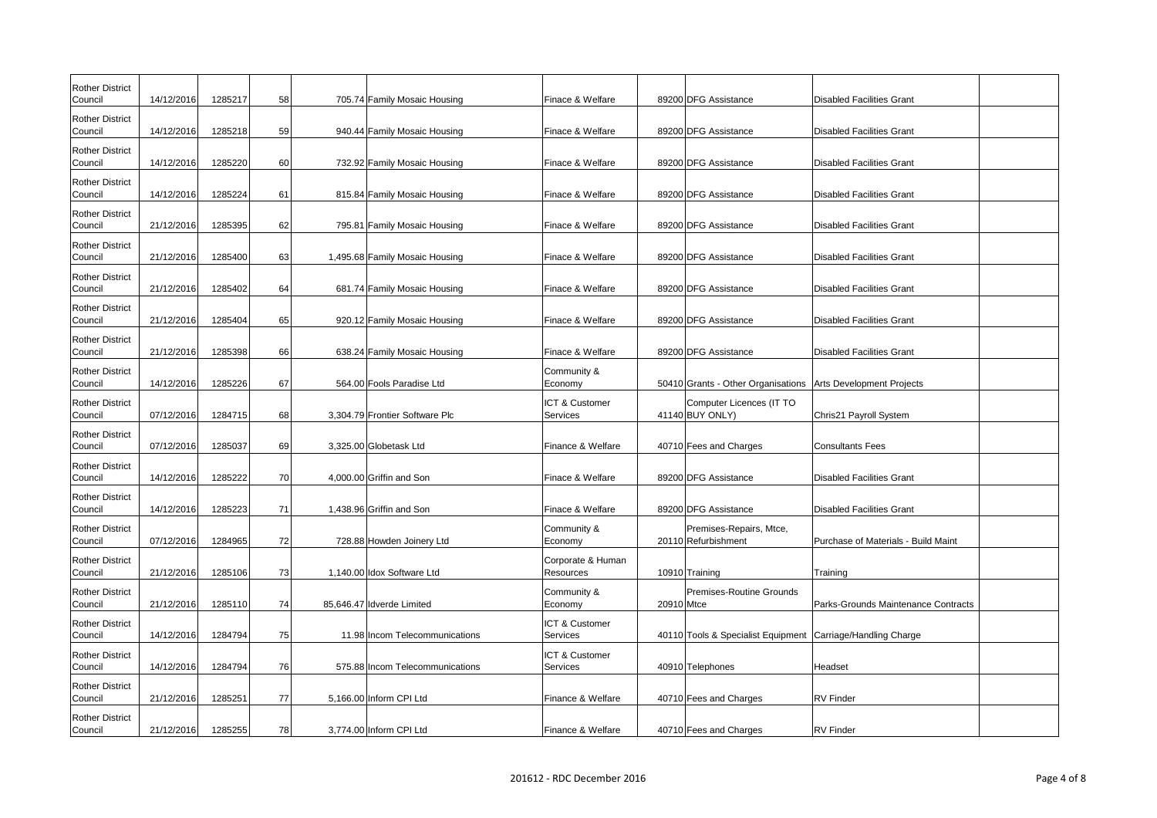| <b>Rother District</b><br>Council | 14/12/2016 | 1285217 | 58 | 705.74 Family Mosaic Housing    | Finace & Welfare                      |            | 89200 DFG Assistance                                         | <b>Disabled Facilities Grant</b>    |
|-----------------------------------|------------|---------|----|---------------------------------|---------------------------------------|------------|--------------------------------------------------------------|-------------------------------------|
| <b>Rother District</b><br>Council | 14/12/2016 | 1285218 | 59 | 940.44 Family Mosaic Housing    | Finace & Welfare                      |            | 89200 DFG Assistance                                         | <b>Disabled Facilities Grant</b>    |
| <b>Rother District</b><br>Council | 14/12/2016 | 1285220 | 60 | 732.92 Family Mosaic Housing    | Finace & Welfare                      |            | 89200 DFG Assistance                                         | Disabled Facilities Grant           |
| <b>Rother District</b>            |            |         |    |                                 |                                       |            |                                                              |                                     |
| Council<br><b>Rother District</b> | 14/12/2016 | 1285224 | 61 | 815.84 Family Mosaic Housing    | Finace & Welfare                      |            | 89200 DFG Assistance                                         | <b>Disabled Facilities Grant</b>    |
| Council<br><b>Rother District</b> | 21/12/2016 | 1285395 | 62 | 795.81 Family Mosaic Housing    | Finace & Welfare                      |            | 89200 DFG Assistance                                         | <b>Disabled Facilities Grant</b>    |
| Council                           | 21/12/2016 | 1285400 | 63 | 1,495.68 Family Mosaic Housing  | Finace & Welfare                      |            | 89200 DFG Assistance                                         | Disabled Facilities Grant           |
| <b>Rother District</b><br>Council | 21/12/2016 | 1285402 | 64 | 681.74 Family Mosaic Housing    | Finace & Welfare                      |            | 89200 DFG Assistance                                         | <b>Disabled Facilities Grant</b>    |
| <b>Rother District</b><br>Council | 21/12/2016 | 1285404 | 65 | 920.12 Family Mosaic Housing    | Finace & Welfare                      |            | 89200 DFG Assistance                                         | <b>Disabled Facilities Grant</b>    |
| <b>Rother District</b><br>Council | 21/12/2016 | 1285398 | 66 | 638.24 Family Mosaic Housing    | Finace & Welfare                      |            | 89200 DFG Assistance                                         | <b>Disabled Facilities Grant</b>    |
| <b>Rother District</b><br>Council | 14/12/2016 | 1285226 | 67 | 564.00 Fools Paradise Ltd       | Community &<br>Economy                |            | 50410 Grants - Other Organisations Arts Development Projects |                                     |
| <b>Rother District</b><br>Council | 07/12/2016 | 1284715 | 68 | 3,304.79 Frontier Software Plc  | ICT & Customer<br>Services            |            | Computer Licences (IT TO<br>$41140$ BUY ONLY)                | Chris21 Payroll System              |
| <b>Rother District</b><br>Council | 07/12/2016 | 1285037 | 69 | 3,325.00 Globetask Ltd          | Finance & Welfare                     |            | 40710 Fees and Charges                                       | <b>Consultants Fees</b>             |
| <b>Rother District</b><br>Council | 14/12/2016 | 1285222 | 70 | 4,000.00 Griffin and Son        | Finace & Welfare                      |            | 89200 DFG Assistance                                         | <b>Disabled Facilities Grant</b>    |
| <b>Rother District</b><br>Council | 14/12/2016 | 1285223 | 71 | 1,438.96 Griffin and Son        | Finace & Welfare                      |            | 89200 DFG Assistance                                         | <b>Disabled Facilities Grant</b>    |
| <b>Rother District</b><br>Council | 07/12/2016 | 1284965 | 72 | 728.88 Howden Joinery Ltd       | Community &<br>Economy                |            | Premises-Repairs, Mtce,<br>20110 Refurbishment               | Purchase of Materials - Build Maint |
| <b>Rother District</b><br>Council | 21/12/2016 | 1285106 | 73 | 1,140.00 Idox Software Ltd      | Corporate & Human<br><b>Resources</b> |            | 10910 Training                                               | Training                            |
| <b>Rother District</b><br>Council | 21/12/2016 | 1285110 | 74 | 85,646.47 Idverde Limited       | Community &<br>Economy                | 20910 Mtce | Premises-Routine Grounds                                     | Parks-Grounds Maintenance Contracts |
| <b>Rother District</b><br>Council | 14/12/2016 | 1284794 | 75 | 11.98 Incom Telecommunications  | ICT & Customer<br>Services            |            | 40110 Tools & Specialist Equipment Carriage/Handling Charge  |                                     |
| <b>Rother District</b><br>Council | 14/12/2016 | 1284794 | 76 | 575.88 Incom Telecommunications | ICT & Customer<br>Services            |            | 40910 Telephones                                             | Headset                             |
| <b>Rother District</b><br>Council | 21/12/2016 | 1285251 | 77 | 5,166.00 Inform CPI Ltd         | Finance & Welfare                     |            | 40710 Fees and Charges                                       | <b>RV</b> Finder                    |
| <b>Rother District</b><br>Council | 21/12/2016 | 1285255 | 78 | 3,774.00 Inform CPI Ltd         | Finance & Welfare                     |            | 40710 Fees and Charges                                       | <b>RV</b> Finder                    |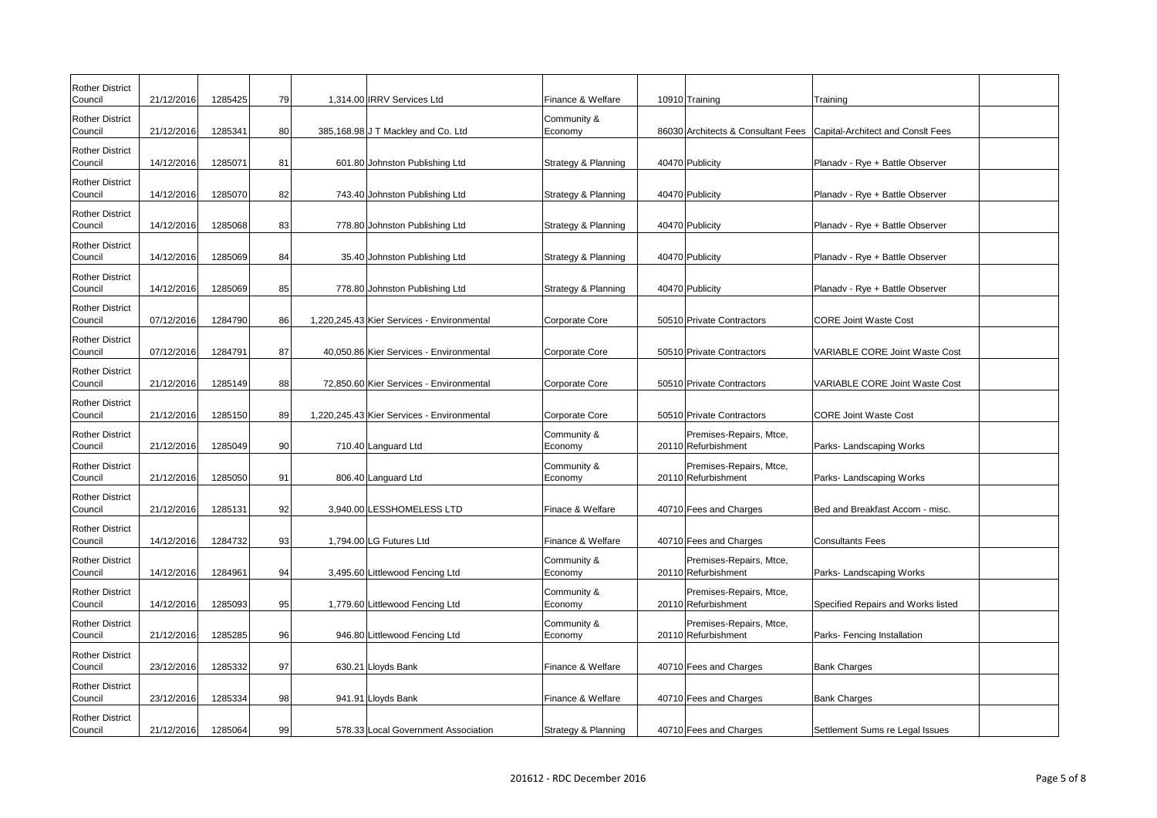| <b>Rother District</b><br>Council | 21/12/2016 | 1285425 | 79              | 1,314.00 IRRV Services Ltd                 | Finance & Welfare      | 10910 Training                                 | Training                              |
|-----------------------------------|------------|---------|-----------------|--------------------------------------------|------------------------|------------------------------------------------|---------------------------------------|
| <b>Rother District</b><br>Council | 21/12/2016 | 1285341 | 80 <sup>2</sup> | 385,168.98 J T Mackley and Co. Ltd         | Community &<br>Economy | 86030 Architects & Consultant Fees             | Capital-Architect and Consit Fees     |
| <b>Rother District</b><br>Council | 14/12/2016 | 1285071 | 81              | 601.80 Johnston Publishing Ltd             | Strategy & Planning    | 40470 Publicity                                | Planadv - Rye + Battle Observer       |
| <b>Rother District</b><br>Council | 14/12/2016 | 1285070 | 82              | 743.40 Johnston Publishing Ltd             | Strategy & Planning    | 40470 Publicity                                | Planadv - Rye + Battle Observer       |
| <b>Rother District</b><br>Council | 14/12/2016 | 1285068 | 83              | 778.80 Johnston Publishing Ltd             | Strategy & Planning    | 40470 Publicity                                | Planadv - Rye + Battle Observer       |
| <b>Rother District</b><br>Council | 14/12/2016 | 1285069 | 84              | 35.40 Johnston Publishing Ltd              | Strategy & Planning    | 40470 Publicity                                | Planadv - Rye + Battle Observer       |
| <b>Rother District</b><br>Council | 14/12/2016 | 1285069 | 85              | 778.80 Johnston Publishing Ltd             | Strategy & Planning    | 40470 Publicity                                | Planadv - Rye + Battle Observer       |
| <b>Rother District</b><br>Council | 07/12/2016 | 1284790 | 86              | 1,220,245.43 Kier Services - Environmental | Corporate Core         | 50510 Private Contractors                      | <b>CORE Joint Waste Cost</b>          |
| <b>Rother District</b><br>Council | 07/12/2016 | 1284791 | 87              | 40,050.86 Kier Services - Environmental    | Corporate Core         | 50510 Private Contractors                      | <b>VARIABLE CORE Joint Waste Cost</b> |
| <b>Rother District</b><br>Council | 21/12/2016 | 1285149 | 88              | 72,850.60 Kier Services - Environmental    | Corporate Core         | 50510 Private Contractors                      | <b>VARIABLE CORE Joint Waste Cost</b> |
| <b>Rother District</b><br>Council | 21/12/2016 | 1285150 | 89              | 1,220,245.43 Kier Services - Environmental | Corporate Core         | 50510 Private Contractors                      | <b>CORE Joint Waste Cost</b>          |
| <b>Rother District</b><br>Council | 21/12/2016 | 1285049 | -901            | 710.40 Languard Ltd                        | Community &<br>Economy | Premises-Repairs, Mtce,<br>20110 Refurbishment | Parks-Landscaping Works               |
| <b>Rother District</b><br>Council | 21/12/2016 | 1285050 | 91              | 806.40 Languard Ltd                        | Community &<br>Economy | Premises-Repairs, Mtce,<br>20110 Refurbishment | Parks- Landscaping Works              |
| <b>Rother District</b><br>Council | 21/12/2016 | 1285131 | 92              | 3,940.00 LESSHOMELESS LTD                  | Finace & Welfare       | 40710 Fees and Charges                         | Bed and Breakfast Accom - misc.       |
| <b>Rother District</b><br>Council | 14/12/2016 | 1284732 | 93              | 1,794.00 LG Futures Ltd                    | Finance & Welfare      | 40710 Fees and Charges                         | <b>Consultants Fees</b>               |
| <b>Rother District</b><br>Council | 14/12/2016 | 1284961 | 94              | 3,495.60 Littlewood Fencing Ltd            | Community &<br>Economy | Premises-Repairs, Mtce,<br>20110 Refurbishment | Parks-Landscaping Works               |
| <b>Rother District</b><br>Council | 14/12/2016 | 1285093 | 95              | 1,779.60 Littlewood Fencing Ltd            | Community &<br>Economy | Premises-Repairs, Mtce,<br>20110 Refurbishment | Specified Repairs and Works listed    |
| <b>Rother District</b><br>Council | 21/12/2016 | 1285285 | 96              | 946.80 Littlewood Fencing Ltd              | Community &<br>Economy | Premises-Repairs, Mtce,<br>20110 Refurbishment | Parks- Fencing Installation           |
| <b>Rother District</b><br>Council | 23/12/2016 | 1285332 | 97              | 630.21 Lloyds Bank                         | Finance & Welfare      | 40710 Fees and Charges                         | <b>Bank Charges</b>                   |
| <b>Rother District</b><br>Council | 23/12/2016 | 1285334 | 98              | 941.91 Lloyds Bank                         | Finance & Welfare      | 40710 Fees and Charges                         | <b>Bank Charges</b>                   |
| <b>Rother District</b><br>Council | 21/12/2016 | 1285064 | 99              | 578.33 Local Government Association        | Strategy & Planning    | 40710 Fees and Charges                         | Settlement Sums re Legal Issues       |

| nslt Fees   |  |
|-------------|--|
|             |  |
| bserver     |  |
| bserver     |  |
| bserver     |  |
| bserver     |  |
| bserver     |  |
|             |  |
| Naste Cost  |  |
| Vaste Cost  |  |
|             |  |
| ks          |  |
| ks          |  |
| n - misc.   |  |
|             |  |
| ks          |  |
| orks listed |  |
|             |  |
| ρņ          |  |
|             |  |
|             |  |
| al Issues   |  |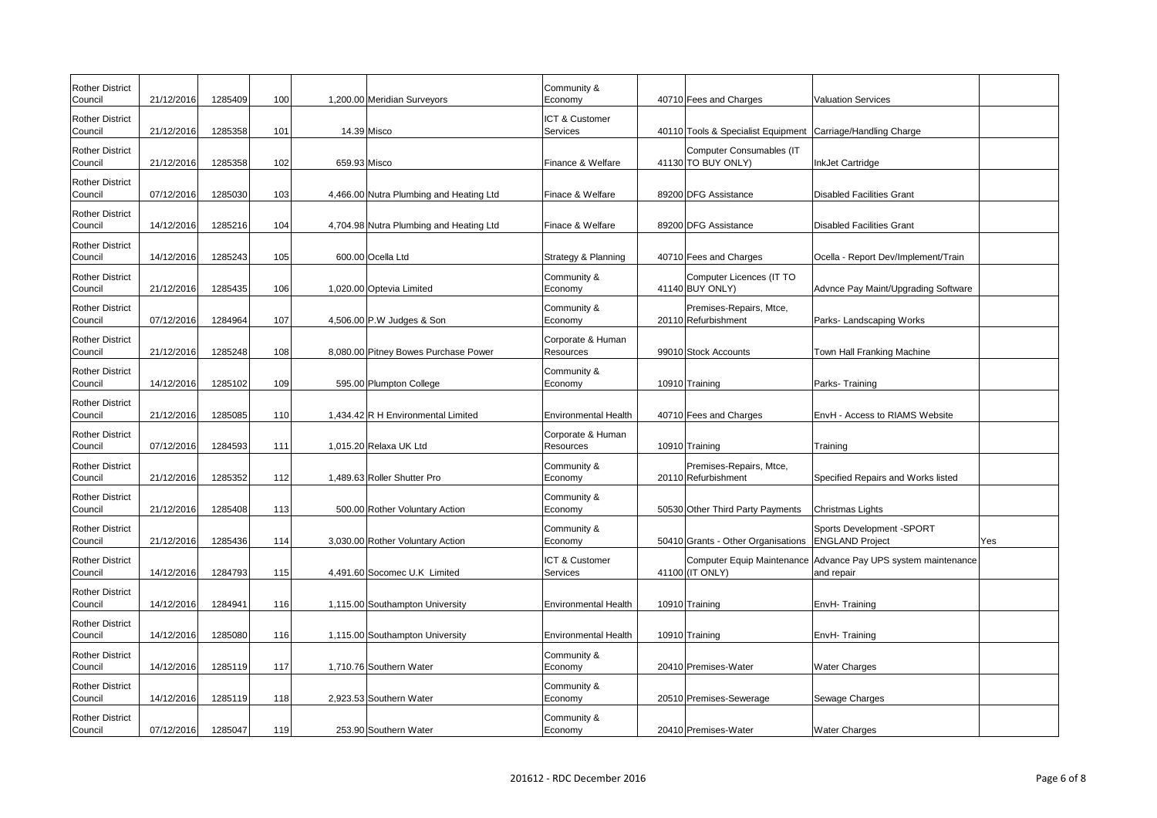| <b>Rother District</b><br>Council | 21/12/2016 | 1285409 | 100 | 1,200.00 Meridian Surveyors             | Community &<br>Economy         | 40710 Fees and Charges                                      | <b>Valuation Services</b>                                                   |     |
|-----------------------------------|------------|---------|-----|-----------------------------------------|--------------------------------|-------------------------------------------------------------|-----------------------------------------------------------------------------|-----|
| <b>Rother District</b><br>Council | 21/12/2016 | 1285358 | 101 | 14.39 Misco                             | ICT & Customer<br>Services     | 40110 Tools & Specialist Equipment Carriage/Handling Charge |                                                                             |     |
| <b>Rother District</b><br>Council | 21/12/2016 | 1285358 | 102 | 659.93 Misco                            | Finance & Welfare              | Computer Consumables (IT<br>41130 TO BUY ONLY)              | InkJet Cartridge                                                            |     |
| <b>Rother District</b><br>Council | 07/12/2016 | 1285030 | 103 | 4,466.00 Nutra Plumbing and Heating Ltd | Finace & Welfare               | 89200 DFG Assistance                                        | Disabled Facilities Grant                                                   |     |
| <b>Rother District</b><br>Council | 14/12/2016 | 1285216 | 104 | 4,704.98 Nutra Plumbing and Heating Ltd | Finace & Welfare               | 89200 DFG Assistance                                        | Disabled Facilities Grant                                                   |     |
| <b>Rother District</b><br>Council | 14/12/2016 | 1285243 | 105 | 600.00 Ocella Ltd                       | Strategy & Planning            | 40710 Fees and Charges                                      | Ocella - Report Dev/Implement/Train                                         |     |
| <b>Rother District</b><br>Council | 21/12/2016 | 1285435 | 106 | 1,020.00 Optevia Limited                | Community &<br>Economy         | Computer Licences (IT TO<br>41140 BUY ONLY)                 | Advnce Pay Maint/Upgrading Software                                         |     |
| <b>Rother District</b><br>Council | 07/12/2016 | 1284964 | 107 | 4,506.00 P.W Judges & Son               | Community &<br>Economy         | Premises-Repairs, Mtce,<br>20110 Refurbishment              | Parks- Landscaping Works                                                    |     |
| <b>Rother District</b><br>Council | 21/12/2016 | 1285248 | 108 | 8,080.00 Pitney Bowes Purchase Power    | Corporate & Human<br>Resources | 99010 Stock Accounts                                        | Town Hall Franking Machine                                                  |     |
| <b>Rother District</b><br>Council | 14/12/2016 | 1285102 | 109 | 595.00 Plumpton College                 | Community &<br>Economy         | 10910 Training                                              | Parks-Training                                                              |     |
| <b>Rother District</b><br>Council | 21/12/2016 | 1285085 | 110 | 1,434.42 R H Environmental Limited      | <b>Environmental Health</b>    | 40710 Fees and Charges                                      | <b>EnvH - Access to RIAMS Website</b>                                       |     |
| <b>Rother District</b><br>Council | 07/12/2016 | 1284593 | 111 | 1,015.20 Relaxa UK Ltd                  | Corporate & Human<br>Resources | 10910 Training                                              | Training                                                                    |     |
| <b>Rother District</b><br>Council | 21/12/2016 | 1285352 | 112 | 1,489.63 Roller Shutter Pro             | Community &<br>Economy         | Premises-Repairs, Mtce,<br>20110 Refurbishment              | Specified Repairs and Works listed                                          |     |
| <b>Rother District</b><br>Council | 21/12/2016 | 1285408 | 113 | 500.00 Rother Voluntary Action          | Community &<br>Economy         | 50530 Other Third Party Payments                            | Christmas Lights                                                            |     |
| <b>Rother District</b><br>Council | 21/12/2016 | 1285436 | 114 | 3,030.00 Rother Voluntary Action        | Community &<br>Economy         | 50410 Grants - Other Organisations   ENGLAND Project        | Sports Development - SPORT                                                  | Yes |
| <b>Rother District</b><br>Council | 14/12/2016 | 1284793 | 115 | 4,491.60 Socomec U.K Limited            | ICT & Customer<br>Services     | 41100 (IT ONLY)                                             | Computer Equip Maintenance Advance Pay UPS system maintenance<br>and repair |     |
| <b>Rother District</b><br>Council | 14/12/2016 | 1284941 | 116 | 1,115.00 Southampton University         | <b>Environmental Health</b>    | 10910 Training                                              | EnvH-Training                                                               |     |
| <b>Rother District</b><br>Council | 14/12/2016 | 1285080 | 116 | 1,115.00 Southampton University         | <b>Environmental Health</b>    | 10910 Training                                              | EnvH-Training                                                               |     |
| <b>Rother District</b><br>Council | 14/12/2016 | 1285119 | 117 | 1,710.76 Southern Water                 | Community &<br>Economy         | 20410 Premises-Water                                        | <b>Water Charges</b>                                                        |     |
| <b>Rother District</b><br>Council | 14/12/2016 | 1285119 | 118 | 2,923.53 Southern Water                 | Community &<br>Economy         | 20510 Premises-Sewerage                                     | Sewage Charges                                                              |     |
| <b>Rother District</b><br>Council | 07/12/2016 | 1285047 | 119 | 253.90 Southern Water                   | Community &<br>Economy         | 20410 Premises-Water                                        | <b>Water Charges</b>                                                        |     |

| e             |     |
|---------------|-----|
|               |     |
|               |     |
|               |     |
| ement/Train   |     |
| ding Software |     |
| ks            |     |
| hine          |     |
|               |     |
| Website       |     |
|               |     |
| orks listed   |     |
|               |     |
| OR I          | Yes |
| m maintenance |     |
|               |     |
|               |     |
|               |     |
|               |     |
|               |     |
|               |     |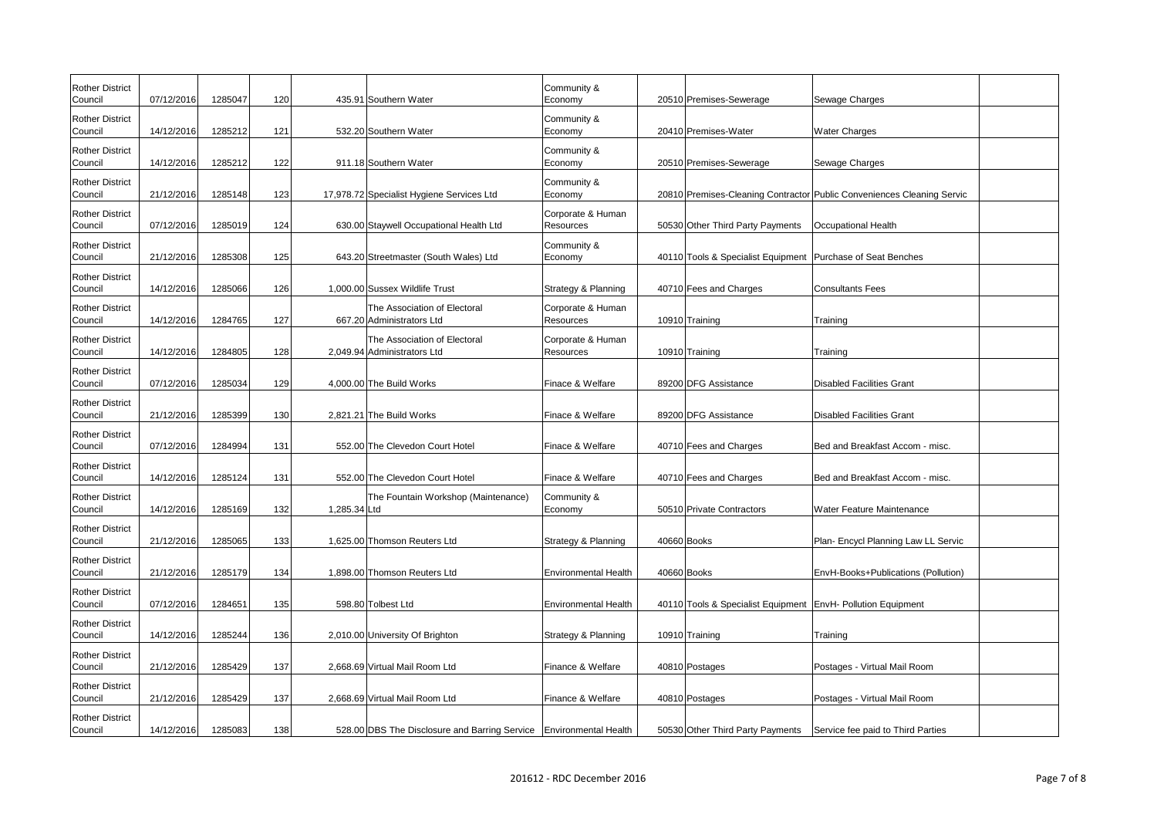| <b>Rother District</b><br>Council | 07/12/2016 | 1285047 | 120 | 435.91 Southern Water                                                | Community &<br>Economy         | 20510 Premises-Sewerage                                       | Sewage Charges                                                         |
|-----------------------------------|------------|---------|-----|----------------------------------------------------------------------|--------------------------------|---------------------------------------------------------------|------------------------------------------------------------------------|
| <b>Rother District</b><br>Council | 14/12/2016 | 1285212 | 121 | 532.20 Southern Water                                                | Community &<br>Economy         | 20410 Premises-Water                                          | <b>Water Charges</b>                                                   |
| <b>Rother District</b><br>Council | 14/12/2016 | 1285212 | 122 | 911.18 Southern Water                                                | Community &<br>Economy         | 20510 Premises-Sewerage                                       | Sewage Charges                                                         |
| <b>Rother District</b><br>Council | 21/12/2016 | 1285148 | 123 | 17,978.72 Specialist Hygiene Services Ltd                            | Community &<br>Economy         |                                                               | 20810 Premises-Cleaning Contractor Public Conveniences Cleaning Servic |
| <b>Rother District</b><br>Council | 07/12/2016 | 1285019 | 124 | 630.00 Staywell Occupational Health Ltd                              | Corporate & Human<br>Resources | 50530 Other Third Party Payments                              | <b>Occupational Health</b>                                             |
| <b>Rother District</b><br>Council | 21/12/2016 | 1285308 | 125 | 643.20 Streetmaster (South Wales) Ltd                                | Community &<br>Economy         | 40110 Tools & Specialist Equipment   Purchase of Seat Benches |                                                                        |
| <b>Rother District</b><br>Council | 14/12/2016 | 1285066 | 126 | 1,000.00 Sussex Wildlife Trust                                       | Strategy & Planning            | 40710 Fees and Charges                                        | <b>Consultants Fees</b>                                                |
| <b>Rother District</b><br>Council | 14/12/2016 | 1284765 | 127 | The Association of Electoral<br>667.20 Administrators Ltd            | Corporate & Human<br>Resources | 10910 Training                                                | Training                                                               |
| <b>Rother District</b><br>Council | 14/12/2016 | 1284805 | 128 | The Association of Electoral<br>2,049.94 Administrators Ltd          | Corporate & Human<br>Resources | 10910 Training                                                | Training                                                               |
| <b>Rother District</b><br>Council | 07/12/2016 | 1285034 | 129 | 4,000.00 The Build Works                                             | Finace & Welfare               | 89200 DFG Assistance                                          | Disabled Facilities Grant                                              |
| <b>Rother District</b><br>Council | 21/12/2016 | 1285399 | 130 | 2,821.21 The Build Works                                             | Finace & Welfare               | 89200 DFG Assistance                                          | Disabled Facilities Grant                                              |
| <b>Rother District</b><br>Council | 07/12/2016 | 1284994 | 131 | 552.00 The Clevedon Court Hotel                                      | Finace & Welfare               | 40710 Fees and Charges                                        | Bed and Breakfast Accom - misc.                                        |
| <b>Rother District</b><br>Council | 14/12/2016 | 1285124 | 131 | 552.00 The Clevedon Court Hotel                                      | Finace & Welfare               | 40710 Fees and Charges                                        | Bed and Breakfast Accom - misc.                                        |
| <b>Rother District</b><br>Council | 14/12/2016 | 1285169 | 132 | The Fountain Workshop (Maintenance)<br>1,285.34 Ltd                  | Community &<br>Economy         | 50510 Private Contractors                                     | <b>Water Feature Maintenance</b>                                       |
| <b>Rother District</b><br>Council | 21/12/2016 | 1285065 | 133 | 1,625.00 Thomson Reuters Ltd                                         | Strategy & Planning            | 40660 Books                                                   | Plan- Encycl Planning Law LL Servic                                    |
| <b>Rother District</b><br>Council | 21/12/2016 | 1285179 | 134 | 1,898.00 Thomson Reuters Ltd                                         | Environmental Health           | 40660 Books                                                   | EnvH-Books+Publications (Pollution)                                    |
| <b>Rother District</b><br>Council | 07/12/2016 | 1284651 | 135 | 598.80 Tolbest Ltd                                                   | Environmental Health           | 40110 Tools & Specialist Equipment EnvH- Pollution Equipment  |                                                                        |
| <b>Rother District</b><br>Council | 14/12/2016 | 1285244 | 136 | 2,010.00 University Of Brighton                                      | Strategy & Planning            | 10910 Training                                                | Training                                                               |
| <b>Rother District</b><br>Council | 21/12/2016 | 1285429 | 137 | 2,668.69 Virtual Mail Room Ltd                                       | Finance & Welfare              | 40810 Postages                                                | Postages - Virtual Mail Room                                           |
| <b>Rother District</b><br>Council | 21/12/2016 | 1285429 | 137 | 2,668.69 Virtual Mail Room Ltd                                       | Finance & Welfare              | 40810 Postages                                                | Postages - Virtual Mail Room                                           |
| <b>Rother District</b><br>Council | 14/12/2016 | 1285083 | 138 | 528.00 DBS The Disclosure and Barring Service   Environmental Health |                                | 50530 Other Third Party Payments                              | Service fee paid to Third Parties                                      |

| aning Servic  |  |
|---------------|--|
|               |  |
| es            |  |
|               |  |
|               |  |
|               |  |
|               |  |
|               |  |
|               |  |
| n - misc.     |  |
| n - misc.     |  |
| nce           |  |
| w LL Servic   |  |
| s (Pollution) |  |
| nt            |  |
|               |  |
|               |  |
| oom           |  |
| oom           |  |
| Parties       |  |